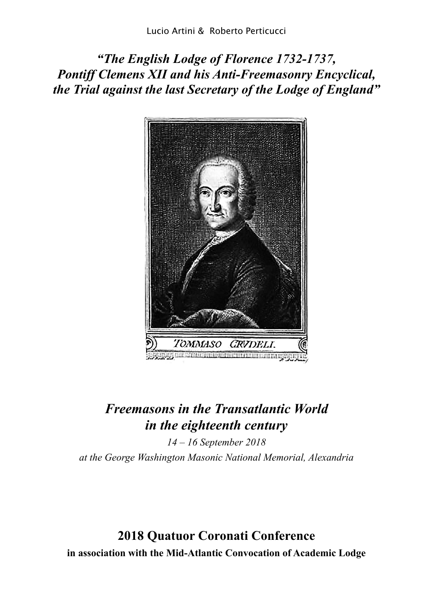*"The English Lodge of Florence 1732-1737, Pontiff Clemens XII and his Anti-Freemasonry Encyclical, the Trial against the last Secretary of the Lodge of England"*



# *Freemasons in the Transatlantic World in the eighteenth century*

*14 – 16 September 2018 at the George Washington Masonic National Memorial, Alexandria*

**2018 Quatuor Coronati Conference in association with the Mid-Atlantic Convocation of Academic Lodge**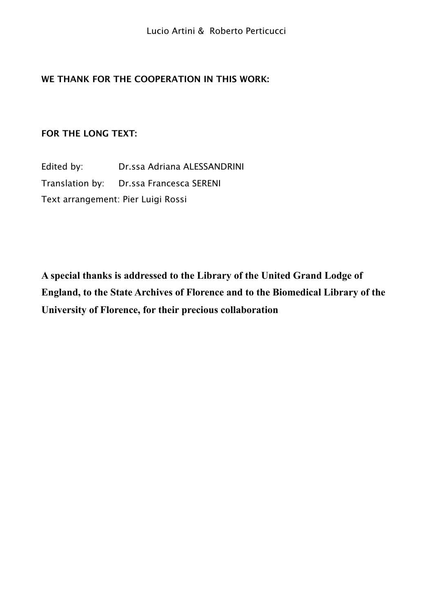### **WE THANK FOR THE COOPERATION IN THIS WORK:**

### **FOR THE LONG TEXT:**

Edited by: Dr.ssa Adriana ALESSANDRINI Translation by: Dr.ssa Francesca SERENI Text arrangement: Pier Luigi Rossi

**A special thanks is addressed to the Library of the United Grand Lodge of England, to the State Archives of Florence and to the Biomedical Library of the University of Florence, for their precious collaboration**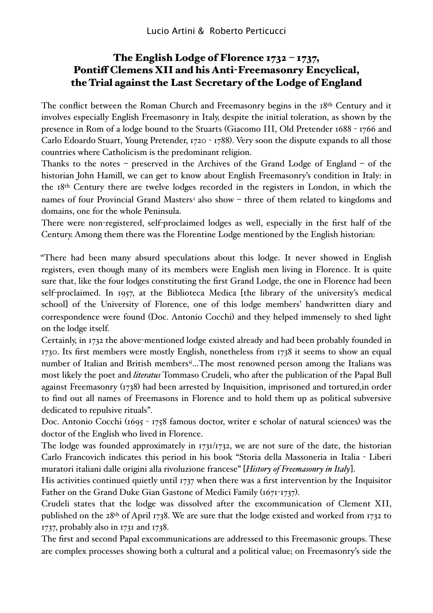# The English Lodge of Florence 1732 – 1737, Pontiff Clemens XII and his Anti-Freemasonry Encyclical, the Trial against the Last Secretary of the Lodge of England

The conflict between the Roman Church and Freemasonry begins in the 18th Century and it involves especially English Freemasonry in Italy, despite the initial toleration, as shown by the presence in Rom of a lodge bound to the Stuarts (Giacomo III, Old Pretender 1688 - 1766 and Carlo Edoardo Stuart, Young Pretender, 1720 - 1788). Very soon the dispute expands to all those countries where Catholicism is the predominant religion.

Thanks to the notes – preserved in the Archives of the Grand Lodge of England – of the historian John Hamill, we can get to know about English Freemasonry's condition in Italy: in the 18th Century there are twelve lodges recorded in the registers in London, in which the names of four Provincial Grand Masters[i](#page-21-0) also show – three of them related to kingdoms and domains, one for the whole Peninsula.

There were non-registered, self-proclaimed lodges as well, especially in the first half of the Century. Among them there was the Florentine Lodge mentioned by the English historian:

"There had been many absurd speculations about this lodge. It never showed in English registers, even though many of its members were English men living in Florence. It is quite sure that, like the four lodges constituting the first Grand Lodge, the one in Florence had been self-proclaimed. In 1957, at the Biblioteca Medica [the library of the university's medical school] of the University of Florence, one of this lodge members' handwritten diary and correspondence were found (Doc. Antonio Cocchi) and they helped immensely to shed light on the lodge itself.

Certainly, in 1732 the above-mentioned lodge existed already and had been probably founded in 1730. Its first members were mostly English, nonetheless from 1738 it seems to show an equal number of Italian and British members<sup>[ii](#page-21-1)</sup>...The most renowned person among the Italians was most likely the poet and *literatus* Tommaso Crudeli, who after the publication of the Papal Bull against Freemasonry (1738) had been arrested by Inquisition, imprisoned and tortured,in order to find out all names of Freemasons in Florence and to hold them up as political subversive dedicated to repulsive rituals".

Doc. Antonio Cocchi (1695 - 1758 famous doctor, writer e scholar of natural sciences) was the doctor of the English who lived in Florence.

The lodge was founded approximately in 1731/1732, we are not sure of the date, the historian Carlo Francovich indicates this period in his book "Storia della Massoneria in Italia - Liberi muratori italiani dalle origini alla rivoluzione francese" [*History of Freemasonry in Italy*].

His activities continued quietly until 1737 when there was a first intervention by the Inquisitor Father on the Grand Duke Gian Gastone of Medici Family (1671-1737).

Crudeli states that the lodge was dissolved after the excommunication of Clement XII, published on the 28th of April 1738. We are sure that the lodge existed and worked from 1732 to 1737, probably also in 1731 and 1738.

The first and second Papal excommunications are addressed to this Freemasonic groups. These are complex processes showing both a cultural and a political value; on Freemasonry's side the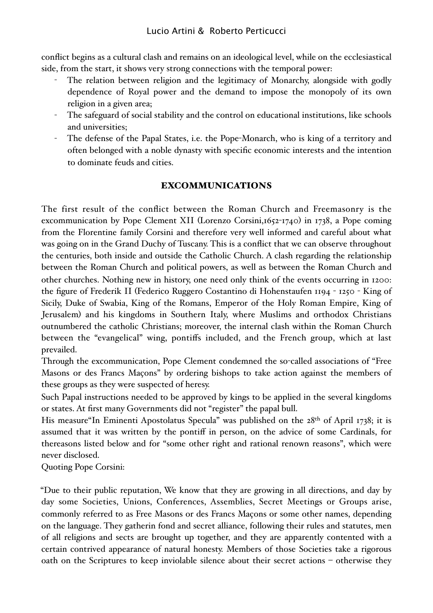conflict begins as a cultural clash and remains on an ideological level, while on the ecclesiastical side, from the start, it shows very strong connections with the temporal power:

- The relation between religion and the legitimacy of Monarchy, alongside with godly dependence of Royal power and the demand to impose the monopoly of its own religion in a given area;
- The safeguard of social stability and the control on educational institutions, like schools and universities;
- The defense of the Papal States, i.e. the Pope-Monarch, who is king of a territory and often belonged with a noble dynasty with specific economic interests and the intention to dominate feuds and cities.

## EXCOMMUNICATIONS

The first result of the conflict between the Roman Church and Freemasonry is the excommunication by Pope Clement XII (Lorenzo Corsini, 1652-1740) in 1738, a Pope coming from the Florentine family Corsini and therefore very well informed and careful about what was going on in the Grand Duchy of Tuscany. This is a conflict that we can observe throughout the centuries, both inside and outside the Catholic Church. A clash regarding the relationship between the Roman Church and political powers, as well as between the Roman Church and other churches. Nothing new in history, one need only think of the events occurring in 1200: the figure of Frederik II (Federico Ruggero Costantino di Hohenstaufen 1194 - 1250 - King of Sicily, Duke of Swabia, King of the Romans, Emperor of the Holy Roman Empire, King of Jerusalem) and his kingdoms in Southern Italy, where Muslims and orthodox Christians outnumbered the catholic Christians; moreover, the internal clash within the Roman Church between the "evangelical" wing, pontiffs included, and the French group, which at last prevailed.

Through the excommunication, Pope Clement condemned the so-called associations of "Free Masons or des Francs Maçons" by ordering bishops to take action against the members of these groups as they were suspected of heresy.

Such Papal instructions needed to be approved by kings to be applied in the several kingdoms or states. At first many Governments did not "register" the papal bull.

His measure"In Eminenti Apostolatus Specula" was published on the 28th of April 1738; it is assumed that it was written by the pontiff in person, on the advice of some Cardinals, for thereasons listed below and for "some other right and rational renown reasons", which were never disclosed.

Quoting Pope Corsini:

"Due to their public reputation, We know that they are growing in all directions, and day by day some Societies, Unions, Conferences, Assemblies, Secret Meetings or Groups arise, commonly referred to as Free Masons or des Francs Maçons or some other names, depending on the language. They gatherin fond and secret alliance, following their rules and statutes, men of all religions and sects are brought up together, and they are apparently contented with a certain contrived appearance of natural honesty. Members of those Societies take a rigorous oath on the Scriptures to keep inviolable silence about their secret actions – otherwise they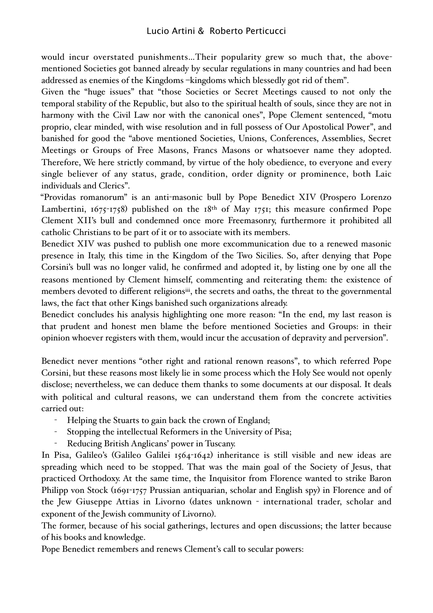would incur overstated punishments…Their popularity grew so much that, the abovementioned Societies got banned already by secular regulations in many countries and had been addressed as enemies of the Kingdoms –kingdoms which blessedly got rid of them".

Given the "huge issues" that "those Societies or Secret Meetings caused to not only the temporal stability of the Republic, but also to the spiritual health of souls, since they are not in harmony with the Civil Law nor with the canonical ones", Pope Clement sentenced, "motu proprio, clear minded, with wise resolution and in full possess of Our Apostolical Power", and banished for good the "above mentioned Societies, Unions, Conferences, Assemblies, Secret Meetings or Groups of Free Masons, Francs Masons or whatsoever name they adopted. Therefore, We here strictly command, by virtue of the holy obedience, to everyone and every single believer of any status, grade, condition, order dignity or prominence, both Laic individuals and Clerics".

"Providas romanorum" is an anti-masonic bull by Pope Benedict XIV (Prospero Lorenzo Lambertini,  $1675$ -1758) published on the  $18<sup>th</sup>$  of May 1751; this measure confirmed Pope Clement XII's bull and condemned once more Freemasonry, furthermore it prohibited all catholic Christians to be part of it or to associate with its members.

Benedict XIV was pushed to publish one more excommunication due to a renewed masonic presence in Italy, this time in the Kingdom of the Two Sicilies. So, after denying that Pope Corsini's bull was no longer valid, he confirmed and adopted it, by listing one by one all the reasons mentioned by Clement himself, commenting and reiterating them: the existence of members devoted to different religions<sup>iii</sup>, the secrets and oaths, the threat to the governmental laws, the fact that other Kings banished such organizations already.

Benedict concludes his analysis highlighting one more reason: "In the end, my last reason is that prudent and honest men blame the before mentioned Societies and Groups: in their opinion whoever registers with them, would incur the accusation of depravity and perversion".

Benedict never mentions "other right and rational renown reasons", to which referred Pope Corsini, but these reasons most likely lie in some process which the Holy See would not openly disclose; nevertheless, we can deduce them thanks to some documents at our disposal. It deals with political and cultural reasons, we can understand them from the concrete activities carried out:

- Helping the Stuarts to gain back the crown of England;
- Stopping the intellectual Reformers in the University of Pisa;
- Reducing British Anglicans' power in Tuscany.

In Pisa, Galileo's (Galileo Galilei 1564-1642) inheritance is still visible and new ideas are spreading which need to be stopped. That was the main goal of the Society of Jesus, that practiced Orthodoxy. At the same time, the Inquisitor from Florence wanted to strike Baron Philipp von Stock (1691-1757 Prussian antiquarian, scholar and English spy) in Florence and of the Jew Giuseppe Attias in Livorno (dates unknown - international trader, scholar and exponent of the Jewish community of Livorno).

The former, because of his social gatherings, lectures and open discussions; the latter because of his books and knowledge.

Pope Benedict remembers and renews Clement's call to secular powers: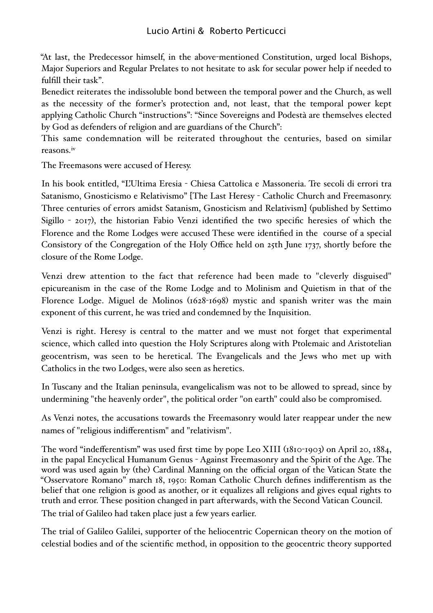"At last, the Predecessor himself, in the above-mentioned Constitution, urged local Bishops, Major Superiors and Regular Prelates to not hesitate to ask for secular power help if needed to fulfill their task".

Benedict reiterates the indissoluble bond between the temporal power and the Church, as well as the necessity of the former's protection and, not least, that the temporal power kept applying Catholic Church "instructions": "Since Sovereigns and Podestà are themselves elected by God as defenders of religion and are guardians of the Church":

This same condemnation will be reiterated throughout the centuries, based on similar reasons.[iv](#page-21-3)

The Freemasons were accused of Heresy.

In his book entitled, "L'Ultima Eresia - Chiesa Cattolica e Massoneria. Tre secoli di errori tra Satanismo, Gnosticismo e Relativismo" [The Last Heresy - Catholic Church and Freemasonry. Three centuries of errors amidst Satanism, Gnosticism and Relativism] (published by Settimo Sigillo - 2017), the historian Fabio Venzi identified the two specific heresies of which the Florence and the Rome Lodges were accused These were identified in the course of a special Consistory of the Congregation of the Holy Office held on 25th June 1737, shortly before the closure of the Rome Lodge.

Venzi drew attention to the fact that reference had been made to "cleverly disguised" epicureanism in the case of the Rome Lodge and to Molinism and Quietism in that of the Florence Lodge. Miguel de Molinos (1628-1698) mystic and spanish writer was the main exponent of this current, he was tried and condemned by the Inquisition.

Venzi is right. Heresy is central to the matter and we must not forget that experimental science, which called into question the Holy Scriptures along with Ptolemaic and Aristotelian geocentrism, was seen to be heretical. The Evangelicals and the Jews who met up with Catholics in the two Lodges, were also seen as heretics.

In Tuscany and the Italian peninsula, evangelicalism was not to be allowed to spread, since by undermining "the heavenly order", the political order "on earth" could also be compromised.

As Venzi notes, the accusations towards the Freemasonry would later reappear under the new names of "religious indifferentism" and "relativism".

The word "indefferentism" was used first time by pope Leo XIII (1810-1903) on April 20, 1884, in the papal Encyclical Humanum Genus - Against Freemasonry and the Spirit of the Age. The word was used again by (the) Cardinal Manning on the official organ of the Vatican State the "Osservatore Romano" march 18, 1950: Roman Catholic Church defines indifferentism as the belief that one religion is good as another, or it equalizes all religions and gives equal rights to truth and error. These position changed in part afterwards, with the Second Vatican Council. The trial of Galileo had taken place just a few years earlier.

The trial of Galileo Galilei, supporter of the heliocentric Copernican theory on the motion of celestial bodies and of the scientific method, in opposition to the geocentric theory supported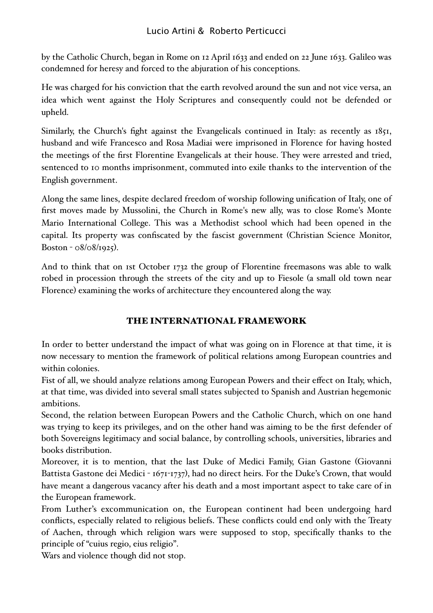by the Catholic Church, began in Rome on 12 April 1633 and ended on 22 June 1633. Galileo was condemned for heresy and forced to the abjuration of his conceptions.

He was charged for his conviction that the earth revolved around the sun and not vice versa, an idea which went against the Holy Scriptures and consequently could not be defended or upheld.

Similarly, the Church's fight against the Evangelicals continued in Italy: as recently as 1851, husband and wife Francesco and Rosa Madiai were imprisoned in Florence for having hosted the meetings of the first Florentine Evangelicals at their house. They were arrested and tried, sentenced to 10 months imprisonment, commuted into exile thanks to the intervention of the English government.

Along the same lines, despite declared freedom of worship following unification of Italy, one of first moves made by Mussolini, the Church in Rome's new ally, was to close Rome's Monte Mario International College. This was a Methodist school which had been opened in the capital. Its property was confiscated by the fascist government (Christian Science Monitor, Boston - 08/08/1925).

And to think that on 1st October 1732 the group of Florentine freemasons was able to walk robed in procession through the streets of the city and up to Fiesole (a small old town near Florence) examining the works of architecture they encountered along the way.

### THE INTERNATIONAL FRAMEWORK

In order to better understand the impact of what was going on in Florence at that time, it is now necessary to mention the framework of political relations among European countries and within colonies.

Fist of all, we should analyze relations among European Powers and their effect on Italy, which, at that time, was divided into several small states subjected to Spanish and Austrian hegemonic ambitions.

Second, the relation between European Powers and the Catholic Church, which on one hand was trying to keep its privileges, and on the other hand was aiming to be the first defender of both Sovereigns legitimacy and social balance, by controlling schools, universities, libraries and books distribution.

Moreover, it is to mention, that the last Duke of Medici Family, Gian Gastone (Giovanni Battista Gastone dei Medici - 1671-1737), had no direct heirs. For the Duke's Crown, that would have meant a dangerous vacancy after his death and a most important aspect to take care of in the European framework.

From Luther's excommunication on, the European continent had been undergoing hard conflicts, especially related to religious beliefs. These conflicts could end only with the Treaty of Aachen, through which religion wars were supposed to stop, specifically thanks to the principle of "cuius regio, eius religio".

Wars and violence though did not stop.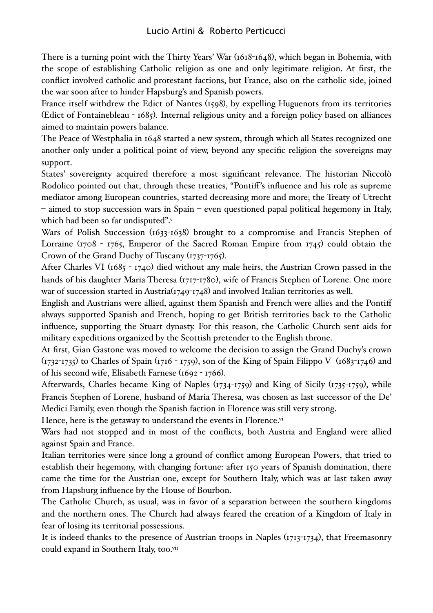There is a turning point with the Thirty Years' War (1618-1648), which began in Bohemia, with the scope of establishing Catholic religion as one and only legitimate religion. At first, the conflict involved catholic and protestant factions, but France, also on the catholic side, joined the war soon after to hinder Hapsburg's and Spanish powers.

France itself withdrew the Edict of Nantes (1598), by expelling Huguenots from its territories (Edict of Fontainebleau - 1685). Internal religious unity and a foreign policy based on alliances aimed to maintain powers balance.

The Peace of Westphalia in 1648 started a new system, through which all States recognized one another only under a political point of view, beyond any specific religion the sovereigns may support.

States' sovereignty acquired therefore a most significant relevance. The historian Niccolò Rodolico pointed out that, through these treaties, "Pontiff's influence and his role as supreme mediator among European countries, started decreasing more and more; the Treaty of Utrecht – aimed to stop succession wars in Spain – even questioned papal political hegemony in Italy, which had been so far undisputed"[.v](#page-21-4)

Wars of Polish Succession (1633-1638) brought to a compromise and Francis Stephen of Lorraine (1708 - 1765, Emperor of the Sacred Roman Empire from 1745) could obtain the Crown of the Grand Duchy of Tuscany (1737-1765).

After Charles VI (1685 - 1740) died without any male heirs, the Austrian Crown passed in the hands of his daughter Maria Theresa (1717-1780), wife of Francis Stephen of Lorene. One more war of succession started in Austria(1749-1748) and involved Italian territories as well.

English and Austrians were allied, against them Spanish and French were allies and the Pontiff always supported Spanish and French, hoping to get British territories back to the Catholic influence, supporting the Stuart dynasty. For this reason, the Catholic Church sent aids for military expeditions organized by the Scottish pretender to the English throne.

At first, Gian Gastone was moved to welcome the decision to assign the Grand Duchy's crown (1732-1735) to Charles of Spain (1716 - 1759), son of the King of Spain Filippo V (1683-1746) and of his second wife, Elisabeth Farnese (1692 - 1766).

Afterwards, Charles became King of Naples (1734-1759) and King of Sicily (1735-1759), while Francis Stephen of Lorene, husband of Maria Theresa, was chosen as last successor of the De' Medici Family, even though the Spanish faction in Florence was still very strong.

Hence, here is the getaway to understand the events in Florence[.vi](#page-21-5)

Wars had not stopped and in most of the conflicts, both Austria and England were allied against Spain and France.

Italian territories were since long a ground of conflict among European Powers, that tried to establish their hegemony, with changing fortune: after 150 years of Spanish domination, there came the time for the Austrian one, except for Southern Italy, which was at last taken away from Hapsburg influence by the House of Bourbon.

The Catholic Church, as usual, was in favor of a separation between the southern kingdoms and the northern ones. The Church had always feared the creation of a Kingdom of Italy in fear of losing its territorial possessions.

It is indeed thanks to the presence of Austrian troops in Naples (1713-1734), that Freemasonry could expand in Southern Italy, too[.vii](#page-21-6)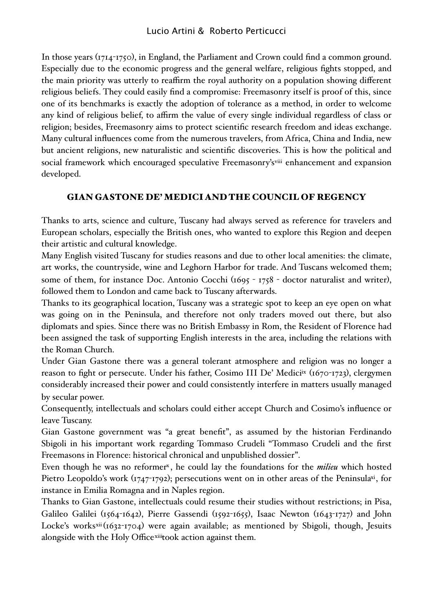In those years (1714-1750), in England, the Parliament and Crown could find a common ground. Especially due to the economic progress and the general welfare, religious fights stopped, and the main priority was utterly to reaffirm the royal authority on a population showing different religious beliefs. They could easily find a compromise: Freemasonry itself is proof of this, since one of its benchmarks is exactly the adoption of tolerance as a method, in order to welcome any kind of religious belief, to affirm the value of every single individual regardless of class or religion; besides, Freemasonry aims to protect scientific research freedom and ideas exchange. Many cultural influences come from the numerous travelers, from Africa, China and India, new but ancient religions, new naturalistic and scientific discoveries. This is how the political and social framework which encouraged speculative Freemasonry's<sup>viii</sup> enhancement and expansion developed.

### GIAN GASTONE DE' MEDICI AND THE COUNCIL OF REGENCY

Thanks to arts, science and culture, Tuscany had always served as reference for travelers and European scholars, especially the British ones, who wanted to explore this Region and deepen their artistic and cultural knowledge.

Many English visited Tuscany for studies reasons and due to other local amenities: the climate, art works, the countryside, wine and Leghorn Harbor for trade. And Tuscans welcomed them; some of them, for instance Doc. Antonio Cocchi (1695 - 1758 - doctor naturalist and writer), followed them to London and came back to Tuscany afterwards.

Thanks to its geographical location, Tuscany was a strategic spot to keep an eye open on what was going on in the Peninsula, and therefore not only traders moved out there, but also diplomats and spies. Since there was no British Embassy in Rom, the Resident of Florence had been assigned the task of supporting English interests in the area, including the relations with the Roman Church.

Under Gian Gastone there was a general tolerant atmosphere and religion was no longer a reason to fight or persecute. Under his father, Cosimo III De' Medic[iix](#page-22-1) (1670-1723), clergymen considerably increased their power and could consistently interfere in matters usually managed by secular power.

Consequently, intellectuals and scholars could either accept Church and Cosimo's influence or leave Tuscany.

Gian Gastone government was "a great benefit", as assumed by the historian Ferdinando Sbigoli in his important work regarding Tommaso Crudeli "Tommaso Crudeli and the first Freemasons in Florence: historical chronical and unpublished dossier".

Even though he was no reformer<sup>x</sup>, he could lay the foundations for the *milieu* which hosted Pietro Leopoldo's work (1747-1792); persecutions went on in other areas of the Peninsul[axi,](#page-22-3) for instance in Emilia Romagna and in Naples region.

Thanks to Gian Gastone, intellectuals could resume their studies without restrictions; in Pisa, Galileo Galilei (1564-1642), Pierre Gassendi (1592-1655), Isaac Newton (1643-1727) and John Locke's works[xii](#page-22-4)(1632-1704) were again available; as mentioned by Sbigoli, though, Jesuits alongside with the Holy Office[xiiit](#page-22-5)ook action against them.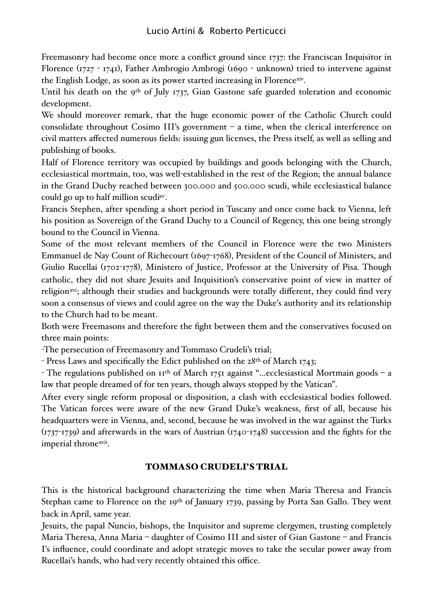Freemasonry had become once more a conflict ground since 1737: the Franciscan Inquisitor in Florence (1727 - 1741), Father Ambrogio Ambrogi (1690 - unknown) tried to intervene against the English Lodge, as soon as its power started increasing in Florence[xiv](#page-23-0).

Until his death on the 9<sup>th</sup> of July 1737, Gian Gastone safe guarded toleration and economic development.

We should moreover remark, that the huge economic power of the Catholic Church could consolidate throughout Cosimo III's government – a time, when the clerical interference on civil matters affected numerous fields: issuing gun licenses, the Press itself, as well as selling and publishing of books.

Half of Florence territory was occupied by buildings and goods belonging with the Church, ecclesiastical mortmain, too, was well-established in the rest of the Region; the annual balance in the Grand Duchy reached between 300.000 and 500.000 scudi, while ecclesiastical balance could go up to half million scud[ixv](#page-23-1).

Francis Stephen, after spending a short period in Tuscany and once come back to Vienna, left his position as Sovereign of the Grand Duchy to a Council of Regency, this one being strongly bound to the Council in Vienna.

Some of the most relevant members of the Council in Florence were the two Ministers Emmanuel de Nay Count of Richecourt (1697-1768), President of the Council of Ministers, and Giulio Rucellai (1702-1778), Ministero of Justice, Professor at the University of Pisa. Though catholic, they did not share Jesuits and Inquisition's conservative point of view in matter of religion<sup>xvi</sup>; although their studies and backgrounds were totally different, they could find very soon a consensus of views and could agree on the way the Duke's authority and its relationship to the Church had to be meant.

Both were Freemasons and therefore the fight between them and the conservatives focused on three main points:

-The persecution of Freemasonry and Tommaso Crudeli's trial;

- Press Laws and specifically the Edict published on the 28<sup>th</sup> of March 1743;

- The regulations published on 11th of March 1751 against "…ecclesiastical Mortmain goods – a law that people dreamed of for ten years, though always stopped by the Vatican".

After every single reform proposal or disposition, a clash with ecclesiastical bodies followed. The Vatican forces were aware of the new Grand Duke's weakness, first of all, because his headquarters were in Vienna, and, second, because he was involved in the war against the Turks (1737-1739) and afterwards in the wars of Austrian (1740-1748) succession and the fights for the imperial throne[xvii.](#page-23-3)

### TOMMASO CRUDELI'S TRIAL

This is the historical background characterizing the time when Maria Theresa and Francis Stephan came to Florence on the 19<sup>th</sup> of January 1739, passing by Porta San Gallo. They went back in April, same year.

Jesuits, the papal Nuncio, bishops, the Inquisitor and supreme clergymen, trusting completely Maria Theresa, Anna Maria – daughter of Cosimo III and sister of Gian Gastone – and Francis I's influence, could coordinate and adopt strategic moves to take the secular power away from Rucellai's hands, who had very recently obtained this office.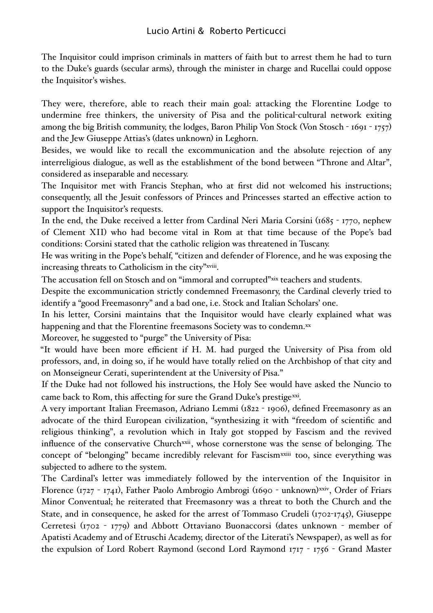The Inquisitor could imprison criminals in matters of faith but to arrest them he had to turn to the Duke's guards (secular arms), through the minister in charge and Rucellai could oppose the Inquisitor's wishes.

They were, therefore, able to reach their main goal: attacking the Florentine Lodge to undermine free thinkers, the university of Pisa and the political-cultural network exiting among the big British community, the lodges, Baron Philip Von Stock (Von Stosch - 1691 - 1757) and the Jew Giuseppe Attias's (dates unknown) in Leghorn.

Besides, we would like to recall the excommunication and the absolute rejection of any interreligious dialogue, as well as the establishment of the bond between "Throne and Altar", considered as inseparable and necessary.

The Inquisitor met with Francis Stephan, who at first did not welcomed his instructions; consequently, all the Jesuit confessors of Princes and Princesses started an effective action to support the Inquisitor's requests.

In the end, the Duke received a letter from Cardinal Neri Maria Corsini (1685 - 1770, nephew of Clement XII) who had become vital in Rom at that time because of the Pope's bad conditions: Corsini stated that the catholic religion was threatened in Tuscany.

He was writing in the Pope's behalf, "citizen and defender of Florence, and he was exposing the increasing threats to Catholicism in the city"[xviii](#page-23-4).

The accusation fell on Stosch and on "immoral and corrupted"[xix](#page-23-5) teachers and students.

Despite the excommunication strictly condemned Freemasonry, the Cardinal cleverly tried to identify a "good Freemasonry" and a bad one, i.e. Stock and Italian Scholars' one.

In his letter, Corsini maintains that the Inquisitor would have clearly explained what was happening and that the Florentine freemasons Society was to condemn.[xx](#page-23-6)

Moreover, he suggested to "purge" the University of Pisa:

"It would have been more efficient if H. M. had purged the University of Pisa from old professors, and, in doing so, if he would have totally relied on the Archbishop of that city and on Monseigneur Cerati, superintendent at the University of Pisa."

If the Duke had not followed his instructions, the Holy See would have asked the Nuncio to came back to Rom, this affecting for sure the Grand Duke's prestige[xxi](#page-23-7).

A very important Italian Freemason, Adriano Lemmi (1822 - 1906), defined Freemasonry as an advocate of the third European civilization, "synthesizing it with "freedom of scientific and religious thinking", a revolution which in Italy got stopped by Fascism and the revived influence of the conservative Church<sup>xxii</sup>, whose cornerstone was the sense of belonging. The concept of "belonging" became incredibly relevant for Fascism[xxiii](#page-24-1) too, since everything was subjected to adhere to the system.

The Cardinal's letter was immediately followed by the intervention of the Inquisitor in Florence (1727 - 1741), Father Paolo Ambrogio Ambrogi (1690 - unknown)<sup>xxiv</sup>, Order of Friars Minor Conventual; he reiterated that Freemasonry was a threat to both the Church and the State, and in consequence, he asked for the arrest of Tommaso Crudeli (1702-1745), Giuseppe Cerretesi (1702 - 1779) and Abbott Ottaviano Buonaccorsi (dates unknown - member of Apatisti Academy and of Etruschi Academy, director of the Literati's Newspaper), as well as for the expulsion of Lord Robert Raymond (second Lord Raymond 1717 - 1756 - Grand Master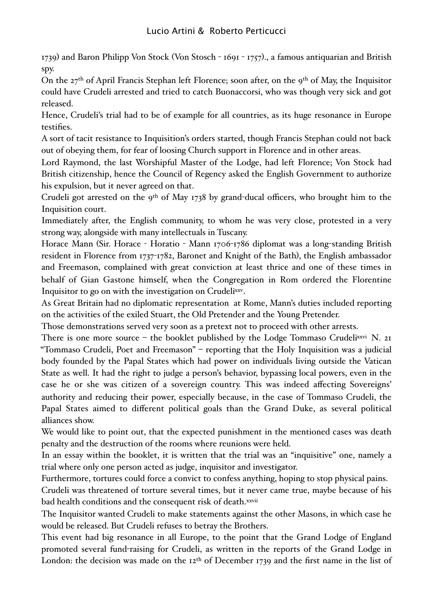1739) and Baron Philipp Von Stock (Von Stosch - 1691 - 1757)., a famous antiquarian and British spy.

On the 27th of April Francis Stephan left Florence; soon after, on the 9th of May, the Inquisitor could have Crudeli arrested and tried to catch Buonaccorsi, who was though very sick and got released.

Hence, Crudeli's trial had to be of example for all countries, as its huge resonance in Europe testifies.

A sort of tacit resistance to Inquisition's orders started, though Francis Stephan could not back out of obeying them, for fear of loosing Church support in Florence and in other areas.

Lord Raymond, the last Worshipful Master of the Lodge, had left Florence; Von Stock had British citizenship, hence the Council of Regency asked the English Government to authorize his expulsion, but it never agreed on that.

Crudeli got arrested on the 9th of May 1738 by grand-ducal officers, who brought him to the Inquisition court.

Immediately after, the English community, to whom he was very close, protested in a very strong way, alongside with many intellectuals in Tuscany.

Horace Mann (Sir. Horace - Horatio - Mann 1706-1786 diplomat was a long-standing British resident in Florence from 1737-1782, Baronet and Knight of the Bath), the English ambassador and Freemason, complained with great conviction at least thrice and one of these times in behalf of Gian Gastone himself, when the Congregation in Rom ordered the Florentine Inquisitor to go on with the investigation on Crudel[ixxv.](#page-24-3)

As Great Britain had no diplomatic representation at Rome, Mann's duties included reporting on the activities of the exiled Stuart, the Old Pretender and the Young Pretender.

Those demonstrations served very soon as a pretext not to proceed with other arrests.

There is one more source – the booklet published by the Lodge Tommaso Crudel[ixxvi](#page-24-4) N. 21 "Tommaso Crudeli, Poet and Freemason" – reporting that the Holy Inquisition was a judicial body founded by the Papal States which had power on individuals living outside the Vatican State as well. It had the right to judge a person's behavior, bypassing local powers, even in the case he or she was citizen of a sovereign country. This was indeed affecting Sovereigns' authority and reducing their power, especially because, in the case of Tommaso Crudeli, the Papal States aimed to different political goals than the Grand Duke, as several political alliances show.

We would like to point out, that the expected punishment in the mentioned cases was death penalty and the destruction of the rooms where reunions were held.

In an essay within the booklet, it is written that the trial was an "inquisitive" one, namely a trial where only one person acted as judge, inquisitor and investigator.

Furthermore, tortures could force a convict to confess anything, hoping to stop physical pains.

Crudeli was threatened of torture several times, but it never came true, maybe because of his bad health conditions and the consequent risk of death.[xxvii](#page-24-5)

The Inquisitor wanted Crudeli to make statements against the other Masons, in which case he would be released. But Crudeli refuses to betray the Brothers.

This event had big resonance in all Europe, to the point that the Grand Lodge of England promoted several fund-raising for Crudeli, as written in the reports of the Grand Lodge in London: the decision was made on the 12<sup>th</sup> of December 1739 and the first name in the list of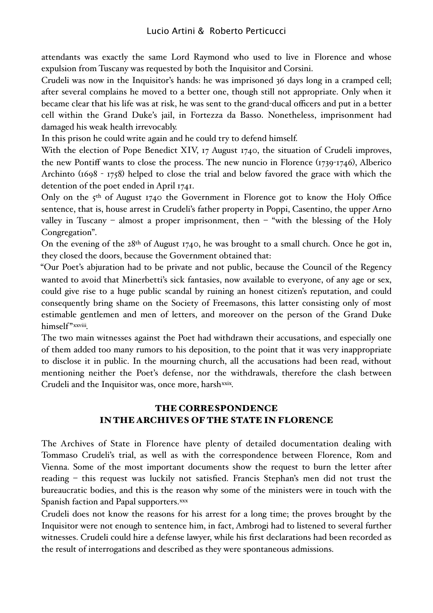attendants was exactly the same Lord Raymond who used to live in Florence and whose expulsion from Tuscany was requested by both the Inquisitor and Corsini.

Crudeli was now in the Inquisitor's hands: he was imprisoned 36 days long in a cramped cell; after several complains he moved to a better one, though still not appropriate. Only when it became clear that his life was at risk, he was sent to the grand-ducal officers and put in a better cell within the Grand Duke's jail, in Fortezza da Basso. Nonetheless, imprisonment had damaged his weak health irrevocably.

In this prison he could write again and he could try to defend himself.

With the election of Pope Benedict XIV, 17 August 1740, the situation of Crudeli improves, the new Pontiff wants to close the process. The new nuncio in Florence (1739-1746), Alberico Archinto (1698 - 1758) helped to close the trial and below favored the grace with which the detention of the poet ended in April 1741.

Only on the 5<sup>th</sup> of August 1740 the Government in Florence got to know the Holy Office sentence, that is, house arrest in Crudeli's father property in Poppi, Casentino, the upper Arno valley in Tuscany – almost a proper imprisonment, then – "with the blessing of the Holy Congregation".

On the evening of the 28th of August 1740, he was brought to a small church. Once he got in, they closed the doors, because the Government obtained that:

"Our Poet's abjuration had to be private and not public, because the Council of the Regency wanted to avoid that Minerbetti's sick fantasies, now available to everyone, of any age or sex, could give rise to a huge public scandal by ruining an honest citizen's reputation, and could consequently bring shame on the Society of Freemasons, this latter consisting only of most estimable gentlemen and men of letters, and moreover on the person of the Grand Duke himself"[xxviii](#page-24-6).

The two main witnesses against the Poet had withdrawn their accusations, and especially one of them added too many rumors to his deposition, to the point that it was very inappropriate to disclose it in public. In the mourning church, all the accusations had been read, without mentioning neither the Poet's defense, nor the withdrawals, therefore the clash between Crudeli and the Inquisitor was, once more, harsh[xxix](#page-25-0).

### THE CORRESPONDENCE IN THE ARCHIVES OF THE STATE IN FLORENCE

The Archives of State in Florence have plenty of detailed documentation dealing with Tommaso Crudeli's trial, as well as with the correspondence between Florence, Rom and Vienna. Some of the most important documents show the request to burn the letter after reading – this request was luckily not satisfied. Francis Stephan's men did not trust the bureaucratic bodies, and this is the reason why some of the ministers were in touch with the Spanish faction and Papal supporters.[xxx](#page-25-1)

Crudeli does not know the reasons for his arrest for a long time; the proves brought by the Inquisitor were not enough to sentence him, in fact, Ambrogi had to listened to several further witnesses. Crudeli could hire a defense lawyer, while his first declarations had been recorded as the result of interrogations and described as they were spontaneous admissions.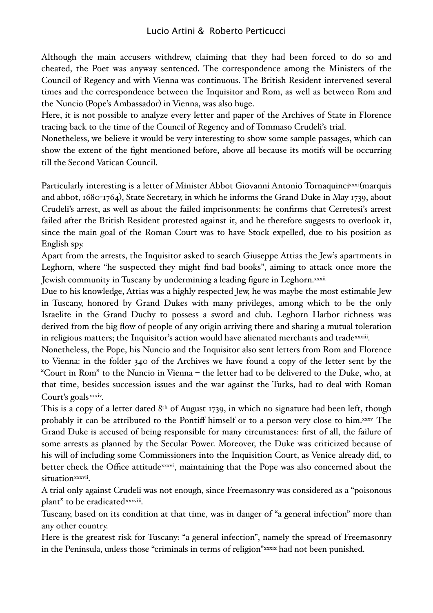Although the main accusers withdrew, claiming that they had been forced to do so and cheated, the Poet was anyway sentenced. The correspondence among the Ministers of the Council of Regency and with Vienna was continuous. The British Resident intervened several times and the correspondence between the Inquisitor and Rom, as well as between Rom and the Nuncio (Pope's Ambassador) in Vienna, was also huge.

Here, it is not possible to analyze every letter and paper of the Archives of State in Florence tracing back to the time of the Council of Regency and of Tommaso Crudeli's trial.

Nonetheless, we believe it would be very interesting to show some sample passages, which can show the extent of the fight mentioned before, above all because its motifs will be occurring till the Second Vatican Council.

Particularly interesting is a letter of Minister Abbot Giovanni Antonio Tornaquinc[ixxxi](#page-25-2)(marquis and abbot, 1680-1764), State Secretary, in which he informs the Grand Duke in May 1739, about Crudeli's arrest, as well as about the failed imprisonments: he confirms that Cerretesi's arrest failed after the British Resident protested against it, and he therefore suggests to overlook it, since the main goal of the Roman Court was to have Stock expelled, due to his position as English spy.

Apart from the arrests, the Inquisitor asked to search Giuseppe Attias the Jew's apartments in Leghorn, where "he suspected they might find bad books", aiming to attack once more the Jewish community in Tuscany by undermining a leading figure in Leghorn.<sup>xxxii</sup>

Due to his knowledge, Attias was a highly respected Jew, he was maybe the most estimable Jew in Tuscany, honored by Grand Dukes with many privileges, among which to be the only Israelite in the Grand Duchy to possess a sword and club. Leghorn Harbor richness was derived from the big flow of people of any origin arriving there and sharing a mutual toleration in religious matters; the Inquisitor's action would have alienated merchants and trade[xxxiii.](#page-25-4)

Nonetheless, the Pope, his Nuncio and the Inquisitor also sent letters from Rom and Florence to Vienna: in the folder 340 of the Archives we have found a copy of the letter sent by the "Court in Rom" to the Nuncio in Vienna – the letter had to be delivered to the Duke, who, at that time, besides succession issues and the war against the Turks, had to deal with Roman Court's goals[xxxiv.](#page-25-5)

This is a copy of a letter dated 8<sup>th</sup> of August 1739, in which no signature had been left, though probably it can be attributed to the Pontiff himself or to a person very close to him[.xxxv](#page-25-6) The Grand Duke is accused of being responsible for many circumstances: first of all, the failure of some arrests as planned by the Secular Power. Moreover, the Duke was criticized because of his will of including some Commissioners into the Inquisition Court, as Venice already did, to better check the Office attitude<sup>xxxvi</sup>, maintaining that the Pope was also concerned about the situation<sup>[xxxvii](#page-25-8)</sup>.

A trial only against Crudeli was not enough, since Freemasonry was considered as a "poisonous plant" to be eradicated[xxxviii.](#page-25-9)

Tuscany, based on its condition at that time, was in danger of "a general infection" more than any other country.

Here is the greatest risk for Tuscany: "a general infection", namely the spread of Freemasonry in the Peninsula, unless those "criminals in terms of religion"[xxxix](#page-25-10) had not been punished.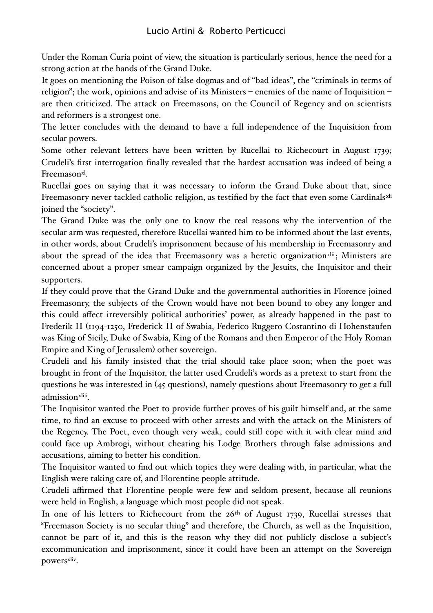Under the Roman Curia point of view, the situation is particularly serious, hence the need for a strong action at the hands of the Grand Duke.

It goes on mentioning the Poison of false dogmas and of "bad ideas", the "criminals in terms of religion"; the work, opinions and advise of its Ministers – enemies of the name of Inquisition – are then criticized. The attack on Freemasons, on the Council of Regency and on scientists and reformers is a strongest one.

The letter concludes with the demand to have a full independence of the Inquisition from secular powers.

Some other relevant letters have been written by Rucellai to Richecourt in August 1739; Crudeli's first interrogation finally revealed that the hardest accusation was indeed of being a Freemason<sup>xl</sup>.

Rucellai goes on saying that it was necessary to inform the Grand Duke about that, since Freemasonry never tackled catholic religion, as testified by the fact that even some Cardinals[xli](#page-26-1) joined the "society".

The Grand Duke was the only one to know the real reasons why the intervention of the secular arm was requested, therefore Rucellai wanted him to be informed about the last events, in other words, about Crudeli's imprisonment because of his membership in Freemasonry and about the spread of the idea that Freemasonry was a heretic organization<sup>[xlii](#page-26-2)</sup>; Ministers are concerned about a proper smear campaign organized by the Jesuits, the Inquisitor and their supporters.

If they could prove that the Grand Duke and the governmental authorities in Florence joined Freemasonry, the subjects of the Crown would have not been bound to obey any longer and this could affect irreversibly political authorities' power, as already happened in the past to Frederik II (1194-1250, Frederick II of Swabia, Federico Ruggero Costantino di Hohenstaufen was King of Sicily, Duke of Swabia, King of the Romans and then Emperor of the Holy Roman Empire and King of Jerusalem) other sovereign.

Crudeli and his family insisted that the trial should take place soon; when the poet was brought in front of the Inquisitor, the latter used Crudeli's words as a pretext to start from the questions he was interested in (45 questions), namely questions about Freemasonry to get a full admission[xliii](#page-26-3).

The Inquisitor wanted the Poet to provide further proves of his guilt himself and, at the same time, to find an excuse to proceed with other arrests and with the attack on the Ministers of the Regency. The Poet, even though very weak, could still cope with it with clear mind and could face up Ambrogi, without cheating his Lodge Brothers through false admissions and accusations, aiming to better his condition.

The Inquisitor wanted to find out which topics they were dealing with, in particular, what the English were taking care of, and Florentine people attitude.

Crudeli affirmed that Florentine people were few and seldom present, because all reunions were held in English, a language which most people did not speak.

In one of his letters to Richecourt from the 26<sup>th</sup> of August 1739, Rucellai stresses that "Freemason Society is no secular thing" and therefore, the Church, as well as the Inquisition, cannot be part of it, and this is the reason why they did not publicly disclose a subject's excommunication and imprisonment, since it could have been an attempt on the Sovereign powers[xliv.](#page-26-4)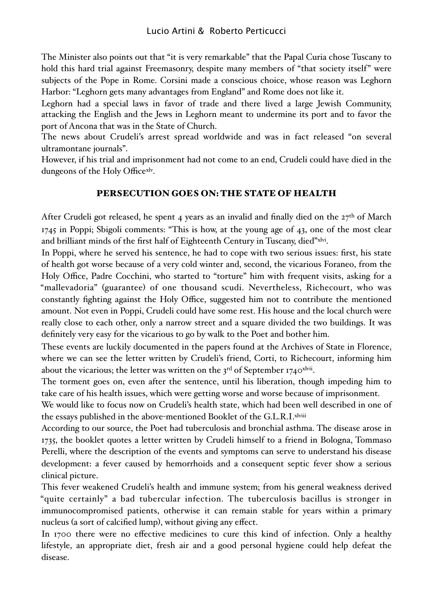The Minister also points out that "it is very remarkable" that the Papal Curia chose Tuscany to hold this hard trial against Freemasonry, despite many members of "that society itself" were subjects of the Pope in Rome. Corsini made a conscious choice, whose reason was Leghorn Harbor: "Leghorn gets many advantages from England" and Rome does not like it.

Leghorn had a special laws in favor of trade and there lived a large Jewish Community, attacking the English and the Jews in Leghorn meant to undermine its port and to favor the port of Ancona that was in the State of Church.

The news about Crudeli's arrest spread worldwide and was in fact released "on several ultramontane journals".

However, if his trial and imprisonment had not come to an end, Crudeli could have died in the dungeons of the Holy Office[xlv](#page-26-5).

### PERSECUTION GOES ON: THE STATE OF HEALTH

After Crudeli got released, he spent 4 years as an invalid and finally died on the  $27<sup>th</sup>$  of March 1745 in Poppi; Sbigoli comments: "This is how, at the young age of 43, one of the most clear and brilliant minds of the first half of Eighteenth Century in Tuscany, died"[xlvi.](#page-26-6)

In Poppi, where he served his sentence, he had to cope with two serious issues: first, his state of health got worse because of a very cold winter and, second, the vicarious Foraneo, from the Holy Office, Padre Cocchini, who started to "torture" him with frequent visits, asking for a "mallevadoria" (guarantee) of one thousand scudi. Nevertheless, Richecourt, who was constantly fighting against the Holy Office, suggested him not to contribute the mentioned amount. Not even in Poppi, Crudeli could have some rest. His house and the local church were really close to each other, only a narrow street and a square divided the two buildings. It was definitely very easy for the vicarious to go by walk to the Poet and bother him.

These events are luckily documented in the papers found at the Archives of State in Florence, where we can see the letter written by Crudeli's friend, Corti, to Richecourt, informing him about the vicarious; the letter was written on the  $3^{rd}$  of September 1740 $x^{\text{hvi}}$ .

The torment goes on, even after the sentence, until his liberation, though impeding him to take care of his health issues, which were getting worse and worse because of imprisonment.

We would like to focus now on Crudeli's health state, which had been well described in one of the essays published in the above-mentioned Booklet of the G.L.R.I[.xlviii](#page-26-8)

According to our source, the Poet had tuberculosis and bronchial asthma. The disease arose in 1735, the booklet quotes a letter written by Crudeli himself to a friend in Bologna, Tommaso Perelli, where the description of the events and symptoms can serve to understand his disease development: a fever caused by hemorrhoids and a consequent septic fever show a serious clinical picture.

This fever weakened Crudeli's health and immune system; from his general weakness derived "quite certainly" a bad tubercular infection. The tuberculosis bacillus is stronger in immunocompromised patients, otherwise it can remain stable for years within a primary nucleus (a sort of calcified lump), without giving any effect.

In 1700 there were no effective medicines to cure this kind of infection. Only a healthy lifestyle, an appropriate diet, fresh air and a good personal hygiene could help defeat the disease.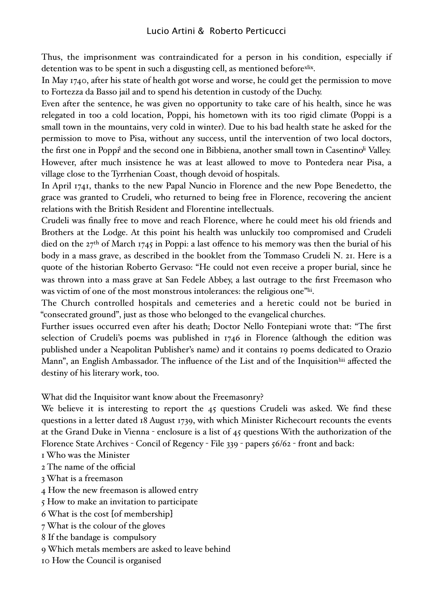Thus, the imprisonment was contraindicated for a person in his condition, especially if detention was to be spent in such a disgusting cell, as mentioned before[xlix.](#page-26-9)

In May 1740, after his state of health got worse and worse, he could get the permission to move to Fortezza da Basso jail and to spend his detention in custody of the Duchy.

Even after the sentence, he was given no opportunity to take care of his health, since he was relegated in too a cold location, Poppi, his hometown with its too rigid climate (Poppi is a small town in the mountains, very cold in winter). Due to his bad health state he asked for the permission to move to Pisa, without any success, until the intervention of two local doctors, the first one in Poppi<sup>l</sup> and the second one in Bibbiena, another small town in Casentino<sup>li</sup> Valley. However, after much insistence he was at least allowed to move to Pontedera near Pisa, a village close to the Tyrrhenian Coast, though devoid of hospitals.

In April 1741, thanks to the new Papal Nuncio in Florence and the new Pope Benedetto, the grace was granted to Crudeli, who returned to being free in Florence, recovering the ancient relations with the British Resident and Florentine intellectuals.

Crudeli was finally free to move and reach Florence, where he could meet his old friends and Brothers at the Lodge. At this point his health was unluckily too compromised and Crudeli died on the 27<sup>th</sup> of March 1745 in Poppi: a last offence to his memory was then the burial of his body in a mass grave, as described in the booklet from the Tommaso Crudeli N. 21. Here is a quote of the historian Roberto Gervaso: "He could not even receive a proper burial, since he was thrown into a mass grave at San Fedele Abbey, a last outrage to the first Freemason who was victim of one of the most monstrous intolerances: the religious one<sup>"[lii](#page-27-1)</sup>.

The Church controlled hospitals and cemeteries and a heretic could not be buried in "consecrated ground", just as those who belonged to the evangelical churches.

Further issues occurred even after his death; Doctor Nello Fontepiani wrote that: "The first selection of Crudeli's poems was published in 1746 in Florence (although the edition was published under a Neapolitan Publisher's name) and it contains 19 poems dedicated to Orazio Mann", an English Ambassador. The influence of the List and of the Inquisition<sup>liii</sup> affected the destiny of his literary work, too.

What did the Inquisitor want know about the Freemasonry?

We believe it is interesting to report the 45 questions Crudeli was asked. We find these questions in a letter dated 18 August 1739, with which Minister Richecourt recounts the events at the Grand Duke in Vienna - enclosure is a list of 45 questions With the authorization of the Florence State Archives - Concil of Regency - File 339 - papers 56/62 - front and back:

1 Who was the Minister

2 The name of the official

3 What is a freemason

4 How the new freemason is allowed entry

5 How to make an invitation to participate

6 What is the cost [of membership]

7 What is the colour of the gloves

8 If the bandage is compulsory

9 Which metals members are asked to leave behind

10 How the Council is organised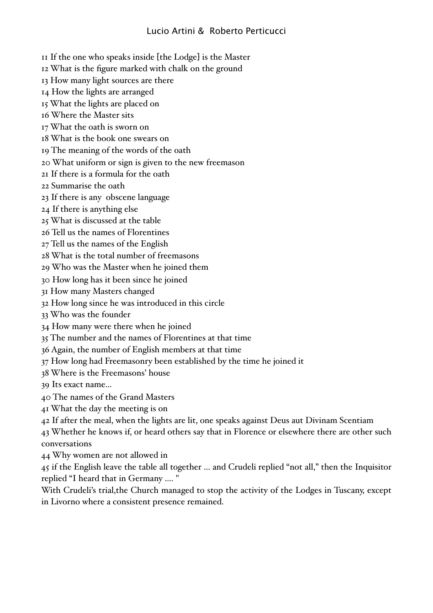11 If the one who speaks inside [the Lodge] is the Master

12 What is the figure marked with chalk on the ground

13 How many light sources are there

14 How the lights are arranged

15 What the lights are placed on

16 Where the Master sits

17 What the oath is sworn on

- 18 What is the book one swears on
- 19 The meaning of the words of the oath

20 What uniform or sign is given to the new freemason

21 If there is a formula for the oath

22 Summarise the oath

23 If there is any obscene language

24 If there is anything else

25 What is discussed at the table

26 Tell us the names of Florentines

27 Tell us the names of the English

28 What is the total number of freemasons

29 Who was the Master when he joined them

30 How long has it been since he joined

31 How many Masters changed

32 How long since he was introduced in this circle

33 Who was the founder

34 How many were there when he joined

35 The number and the names of Florentines at that time

36 Again, the number of English members at that time

37 How long had Freemasonry been established by the time he joined it

38 Where is the Freemasons' house

39 Its exact name...

- 40 The names of the Grand Masters
- 41 What the day the meeting is on

42 If after the meal, when the lights are lit, one speaks against Deus aut Divinam Scentiam

43 Whether he knows if, or heard others say that in Florence or elsewhere there are other such conversations

44 Why women are not allowed in

45 if the English leave the table all together ... and Crudeli replied "not all," then the Inquisitor replied "I heard that in Germany .... "

With Crudeli's trial,the Church managed to stop the activity of the Lodges in Tuscany, except in Livorno where a consistent presence remained.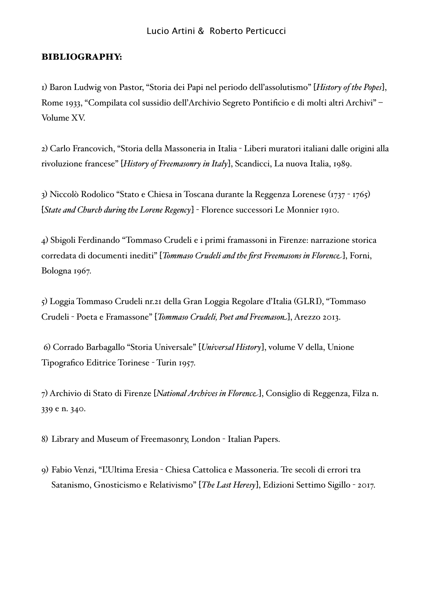#### BIBLIOGRAPHY:

1) Baron Ludwig von Pastor, "Storia dei Papi nel periodo dell'assolutismo" [*History of the Popes*], Rome 1933, "Compilata col sussidio dell'Archivio Segreto Pontificio e di molti altri Archivi" – Volume XV.

2) Carlo Francovich, "Storia della Massoneria in Italia - Liberi muratori italiani dalle origini alla rivoluzione francese" [*History of Freemasonry in Italy*], Scandicci, La nuova Italia, 1989.

3) Niccolò Rodolico "Stato e Chiesa in Toscana durante la Reggenza Lorenese (1737 - 1765) [*State and Church during the Lorene Regency*] - Florence successori Le Monnier 1910.

4) Sbigoli Ferdinando "Tommaso Crudeli e i primi framassoni in Firenze: narrazione storica corredata di documenti inediti" [*Tommaso Crudeli and the first Freemasons in Florence*], Forni, Bologna 1967.

5) Loggia Tommaso Crudeli nr.21 della Gran Loggia Regolare d'Italia (GLRI), "Tommaso Crudeli - Poeta e Framassone" [*Tommaso Crudeli, Poet and Freemason*], Arezzo 2013.

 6) Corrado Barbagallo "Storia Universale" [*Universal History*], volume V della, Unione Tipografico Editrice Torinese - Turin 1957.

7) Archivio di Stato di Firenze [*National Archives in Florence*], Consiglio di Reggenza, Filza n. 339 e n. 340.

8) Library and Museum of Freemasonry, London - Italian Papers.

9) Fabio Venzi, "L'Ultima Eresia - Chiesa Cattolica e Massoneria. Tre secoli di errori tra Satanismo, Gnosticismo e Relativismo" [*The Last Heresy*], Edizioni Settimo Sigillo - 2017.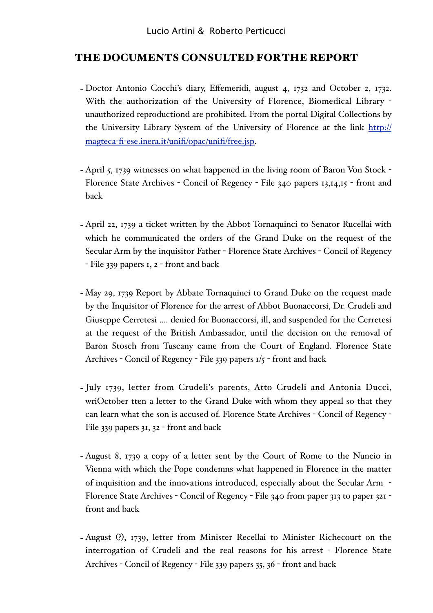### THE DOCUMENTS CONSULTED FOR THE REPORT

- Doctor Antonio Cocchi's diary, Effemeridi, august 4, 1732 and October 2, 1732. With the authorization of the University of Florence, Biomedical Library unauthorized reproductiond are prohibited. From the portal Digital Collections by the University Library System of the University of Florence at the link [http://](http://magteca-fi-ese.inera.it/unifi/opac/unifi/free.jsp) magteca-fi-[ese.inera.it/unifi/opac/unifi/free.jsp.](http://magteca-fi-ese.inera.it/unifi/opac/unifi/free.jsp)
- April 5, 1739 witnesses on what happened in the living room of Baron Von Stock Florence State Archives - Concil of Regency - File 340 papers 13,14,15 - front and back
- April 22, 1739 a ticket written by the Abbot Tornaquinci to Senator Rucellai with which he communicated the orders of the Grand Duke on the request of the Secular Arm by the inquisitor Father - Florence State Archives - Concil of Regency - File 339 papers 1, 2 - front and back
- May 29, 1739 Report by Abbate Tornaquinci to Grand Duke on the request made by the Inquisitor of Florence for the arrest of Abbot Buonaccorsi, Dr. Crudeli and Giuseppe Cerretesi .... denied for Buonaccorsi, ill, and suspended for the Cerretesi at the request of the British Ambassador, until the decision on the removal of Baron Stosch from Tuscany came from the Court of England. Florence State Archives - Concil of Regency - File 339 papers 1/5 - front and back
- July 1739, letter from Crudeli's parents, Atto Crudeli and Antonia Ducci, wriOctober tten a letter to the Grand Duke with whom they appeal so that they can learn what the son is accused of. Florence State Archives - Concil of Regency - File 339 papers 31, 32 - front and back
- August 8, 1739 a copy of a letter sent by the Court of Rome to the Nuncio in Vienna with which the Pope condemns what happened in Florence in the matter of inquisition and the innovations introduced, especially about the Secular Arm - Florence State Archives - Concil of Regency - File 340 from paper 313 to paper 321 front and back
- August (?), 1739, letter from Minister Recellai to Minister Richecourt on the interrogation of Crudeli and the real reasons for his arrest - Florence State Archives - Concil of Regency - File 339 papers 35, 36 - front and back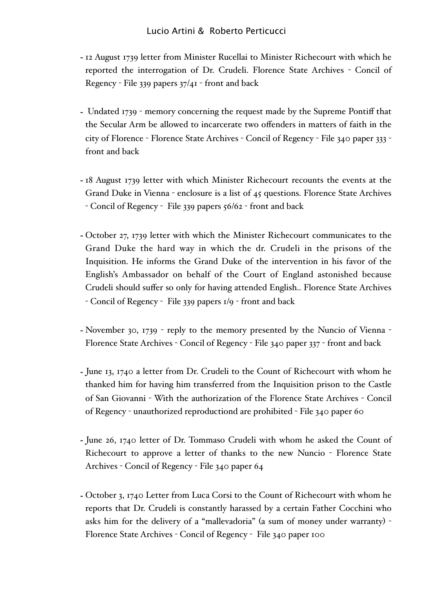- 12 August 1739 letter from Minister Rucellai to Minister Richecourt with which he reported the interrogation of Dr. Crudeli. Florence State Archives - Concil of Regency - File 339 papers 37/41 - front and back
- Undated 1739 memory concerning the request made by the Supreme Pontiff that the Secular Arm be allowed to incarcerate two offenders in matters of faith in the city of Florence - Florence State Archives - Concil of Regency - File 340 paper 333 front and back
- 18 August 1739 letter with which Minister Richecourt recounts the events at the Grand Duke in Vienna - enclosure is a list of 45 questions. Florence State Archives - Concil of Regency - File 339 papers 56/62 - front and back
- October 27, 1739 letter with which the Minister Richecourt communicates to the Grand Duke the hard way in which the dr. Crudeli in the prisons of the Inquisition. He informs the Grand Duke of the intervention in his favor of the English's Ambassador on behalf of the Court of England astonished because Crudeli should suffer so only for having attended English.. Florence State Archives - Concil of Regency - File 339 papers 1/9 - front and back
- November 30, 1739 reply to the memory presented by the Nuncio of Vienna Florence State Archives - Concil of Regency - File 340 paper 337 - front and back
- June 13, 1740 a letter from Dr. Crudeli to the Count of Richecourt with whom he thanked him for having him transferred from the Inquisition prison to the Castle of San Giovanni - With the authorization of the Florence State Archives - Concil of Regency - unauthorized reproductiond are prohibited - File 340 paper 60
- June 26, 1740 letter of Dr. Tommaso Crudeli with whom he asked the Count of Richecourt to approve a letter of thanks to the new Nuncio - Florence State Archives - Concil of Regency - File 340 paper 64
- October 3, 1740 Letter from Luca Corsi to the Count of Richecourt with whom he reports that Dr. Crudeli is constantly harassed by a certain Father Cocchini who asks him for the delivery of a "mallevadoria" (a sum of money under warranty) - Florence State Archives - Concil of Regency - File 340 paper 100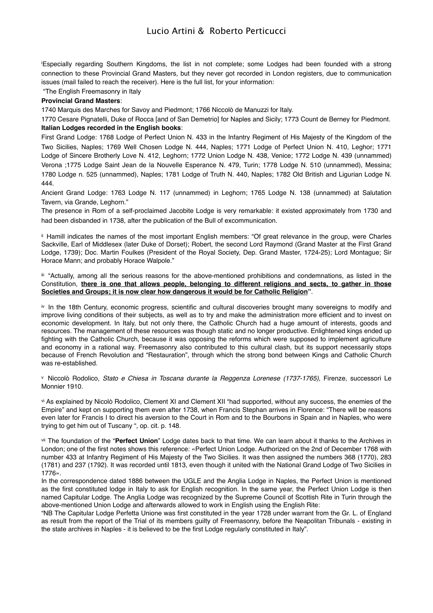<span id="page-21-0"></span>i Especially regarding Southern Kingdoms, the list in not complete; some Lodges had been founded with a strong connection to these Provincial Grand Masters, but they never got recorded in London registers, due to communication issues (mail failed to reach the receiver). Here is the full list, for your information:

"The English Freemasonry in Italy

#### **Provincial Grand Masters**:

1740 Marquis des Marches for Savoy and Piedmont; 1766 Niccolò de Manuzzi for Italy.

1770 Cesare Pignatelli, Duke of Rocca [and of San Demetrio] for Naples and Sicily; 1773 Count de Berney for Piedmont. **Italian Lodges recorded in the English books**:

First Grand Lodge: 1768 Lodge of Perfect Union N. 433 in the Infantry Regiment of His Majesty of the Kingdom of the Two Sicilies, Naples; 1769 Well Chosen Lodge N. 444, Naples; 1771 Lodge of Perfect Union N. 410, Leghor; 1771 Lodge of Sincere Brotherly Love N. 412, Leghorn; 1772 Union Lodge N. 438, Venice; 1772 Lodge N. 439 (unnammed) Verona ;1775 Lodge Saint Jean de la Nouvelle Esperance N. 479, Turin; 1778 Lodge N. 510 (unnammed), Messina; 1780 Lodge n. 525 (unnammed), Naples; 1781 Lodge of Truth N. 440, Naples; 1782 Old British and Ligurian Lodge N. 444.

Ancient Grand Lodge: 1763 Lodge N. 117 (unnammed) in Leghorn; 1765 Lodge N. 138 (unnammed) at Salutation Tavern, via Grande, Leghorn."

The presence in Rom of a self-proclaimed Jacobite Lodge is very remarkable: it existed approximately from 1730 and had been disbanded in 1738, after the publication of the Bull of excommunication.

<span id="page-21-1"></span>ii Hamill indicates the names of the most important English members: "Of great relevance in the group, were Charles Sackville, Earl of Middlesex (later Duke of Dorset); Robert, the second Lord Raymond (Grand Master at the First Grand Lodge, 1739); Doc. Martin Foulkes (President of the Royal Society, Dep. Grand Master, 1724-25); Lord Montague; Sir Horace Mann; and probably Horace Walpole."

<span id="page-21-2"></span>iii "Actually, among all the serious reasons for the above-mentioned prohibitions and condemnations, as listed in the Constitution, **there is one that allows people, belonging to different religions and sects, to gather in those Societies and Groups; it is now clear how dangerous it would be for Catholic Religion"**.

<span id="page-21-3"></span>iv In the 18th Century, economic progress, scientific and cultural discoveries brought many sovereigns to modify and improve living conditions of their subjects, as well as to try and make the administration more efficient and to invest on economic development. In Italy, but not only there, the Catholic Church had a huge amount of interests, goods and resources. The management of these resources was though static and no longer productive. Enlightened kings ended up fighting with the Catholic Church, because it was opposing the reforms which were supposed to implement agriculture and economy in a rational way. Freemasonry also contributed to this cultural clash, but its support necessarily stops because of French Revolution and "Restauration", through which the strong bond between Kings and Catholic Church was re-established.

<span id="page-21-4"></span>v Niccolò Rodolico, *Stato e Chiesa in Toscana durante la Reggenza Lorenese (1737-1765)*, Firenze, successori Le Monnier 1910.

<span id="page-21-5"></span>vi As explained by Nicolò Rodolico, Clement XI and Clement XII "had supported, without any success, the enemies of the Empire" and kept on supporting them even after 1738, when Francis Stephan arrives in Florence: "There will be reasons even later for Francis I to direct his aversion to the Court in Rom and to the Bourbons in Spain and in Naples, who were trying to get him out of Tuscany ", op. cit. p. 148.

<span id="page-21-6"></span>vii The foundation of the "**Perfect Union**" Lodge dates back to that time. We can learn about it thanks to the Archives in London; one of the first notes shows this reference: «Perfect Union Lodge. Authorized on the 2nd of December 1768 with number 433 at Infantry Regiment of His Majesty of the Two Sicilies. It was then assigned the numbers 368 (1770), 283 (1781) and 237 (1792). It was recorded until 1813, even though it united with the National Grand Lodge of Two Sicilies in 1776».

In the correspondence dated 1886 between the UGLE and the Anglia Lodge in Naples, the Perfect Union is mentioned as the first constituted lodge in Italy to ask for English recognition. In the same year, the Perfect Union Lodge is then named Capitular Lodge. The Anglia Lodge was recognized by the Supreme Council of Scottish Rite in Turin through the above-mentioned Union Lodge and afterwards allowed to work in English using the English Rite:

"NB The Capitular Lodge Perfetta Unione was first constituted in the year 1728 under warrant from the Gr. L. of England as result from the report of the Trial of its members guilty of Freemasonry, before the Neapolitan Tribunals - existing in the state archives in Naples - it is believed to be the first Lodge regularly constituted in Italy".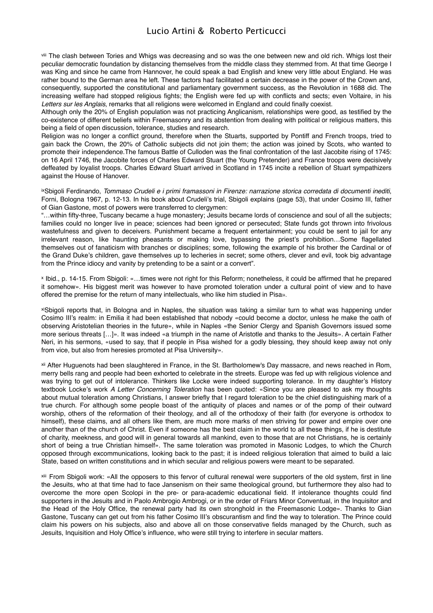<span id="page-22-0"></span>viii The clash between Tories and Whigs was decreasing and so was the one between new and old rich. Whigs lost their peculiar democratic foundation by distancing themselves from the middle class they stemmed from. At that time George I was King and since he came from Hannover, he could speak a bad English and knew very little about England. He was rather bound to the German area he left. These factors had facilitated a certain decrease in the power of the Crown and, consequently, supported the constitutional and parliamentary government success, as the Revolution in 1688 did. The increasing welfare had stopped religious fights; the English were fed up with conflicts and sects; even Voltaire, in his *Letters sur les Anglais*, remarks that all religions were welcomed in England and could finally coexist.

Although only the 20% of English population was not practicing Anglicanism, relationships were good, as testified by the co-existence of different beliefs within Freemasonry and its abstention from dealing with political or religious matters, this being a field of open discussion, tolerance, studies and research.

Religion was no longer a conflict ground, therefore when the Stuarts, supported by Pontiff and French troops, tried to gain back the Crown, the 20% of Catholic subjects did not join them; the action was joined by Scots, who wanted to promote their independence.The famous Battle of Culloden was the final confrontation of the last Jacobite rising of 1745: on 16 April 1746, the Jacobite forces of Charles Edward Stuart (the Young Pretender) and France troops were decisively deffeated by loyalist troops. Charles Edward Stuart arrived in Scotland in 1745 incite a rebellion of Stuart sympathizers against the House of Hanover.

<span id="page-22-1"></span>ixSbigoli Ferdinando, *Tommaso Crudeli e i primi framassoni in Firenze: narrazione storica corredata di documenti inediti*, Forni, Bologna 1967, p. 12-13. In his book about Crudeli's trial, Sbigoli explains (page 53), that under Cosimo III, father of Gian Gastone, most of powers were transferred to clergymen:

"…within fifty-three, Tuscany became a huge monastery; Jesuits became lords of conscience and soul of all the subjects; families could no longer live in peace; sciences had been ignored or persecuted; State funds got thrown into frivolous wastefulness and given to deceivers. Punishment became a frequent entertainment; you could be sent to jail for any irrelevant reason, like haunting pheasants or making love, bypassing the priest's prohibition…Some flagellated themselves out of fanaticism with branches or disciplines; some, following the example of his brother the Cardinal or of the Grand Duke's children, gave themselves up to lecheries in secret; some others, clever and evil, took big advantage from the Prince idiocy and vanity by pretending to be a saint or a convert".

<span id="page-22-2"></span>x Ibid., p. 14-15. From Sbigoli: «…times were not right for this Reform; nonetheless, it could be affirmed that he prepared it somehow». His biggest merit was however to have promoted toleration under a cultural point of view and to have offered the premise for the return of many intellectuals, who like him studied in Pisa».

<span id="page-22-3"></span>xiSbigoli reports that, in Bologna and in Naples, the situation was taking a similar turn to what was happening under Cosimo III's realm: in Emilia it had been established that nobody «could become a doctor, unless he make the oath of observing Aristotelian theories in the future», while in Naples «the Senior Clergy and Spanish Governors issued some more serious threats […]». It was indeed «a triumph in the name of Aristotle and thanks to the Jesuits». A certain Father Neri, in his sermons, «used to say, that if people in Pisa wished for a godly blessing, they should keep away not only from vice, but also from heresies promoted at Pisa University».

<span id="page-22-4"></span>xii After Huguenots had been slaughtered in France, in the St. Bartholomew's Day massacre, and news reached in Rom, merry bells rang and people had been exhorted to celebrate in the streets. Europe was fed up with religious violence and was trying to get out of intolerance. Thinkers like Locke were indeed supporting tolerance. In my daughter's History textbook Locke's work *A Letter Concerning Toleration* has been quoted: «Since you are pleased to ask my thoughts about mutual toleration among Christians, I answer briefly that I regard toleration to be the chief distinguishing mark of a true church. For although some people boast of the antiquity of places and names or of the pomp of their outward worship, others of the reformation of their theology, and all of the orthodoxy of their faith (for everyone is orthodox to himself), these claims, and all others like them, are much more marks of men striving for power and empire over one another than of the church of Christ. Even if someone has the best claim in the world to all these things, if he is destitute of charity, meekness, and good will in general towards all mankind, even to those that are not Christians, he is certainly short of being a true Christian himself». The same toleration was promoted in Masonic Lodges, to which the Church opposed through excommunications, looking back to the past; it is indeed religious toleration that aimed to build a laic State, based on written constitutions and in which secular and religious powers were meant to be separated.

<span id="page-22-5"></span>xiii From Sbigoli work: «All the opposers to this fervor of cultural renewal were supporters of the old system, first in line the Jesuits, who at that time had to face Jansenism on their same theological ground, but furthermore they also had to overcome the more open Scolopi in the pre- or para-academic educational field. If intolerance thoughts could find supporters in the Jesuits and in Paolo Ambrogio Ambrogi, or in the order of Friars Minor Conventual, in the Inquisitor and the Head of the Holy Office, the renewal party had its own stronghold in the Freemasonic Lodge». Thanks to Gian Gastone, Tuscany can get out from his father Cosimo III's obscurantism and find the way to toleration. The Prince could claim his powers on his subjects, also and above all on those conservative fields managed by the Church, such as Jesuits, Inquisition and Holy Office's influence, who were still trying to interfere in secular matters.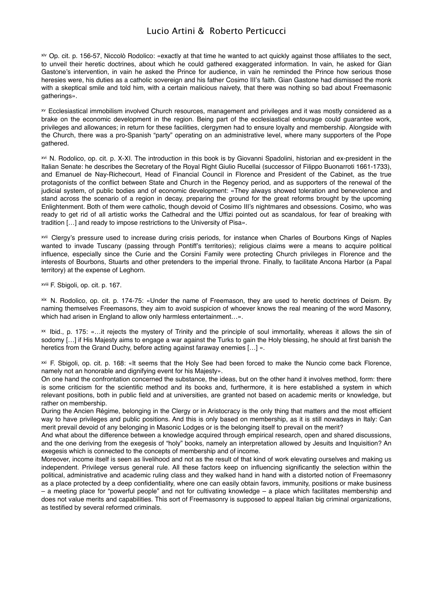<span id="page-23-0"></span>xiv Op. cit. p. 156-57, Niccolò Rodolico: «exactly at that time he wanted to act quickly against those affiliates to the sect, to unveil their heretic doctrines, about which he could gathered exaggerated information. In vain, he asked for Gian Gastone's intervention, in vain he asked the Prince for audience, in vain he reminded the Prince how serious those heresies were, his duties as a catholic sovereign and his father Cosimo III's faith. Gian Gastone had dismissed the monk with a skeptical smile and told him, with a certain malicious naivety, that there was nothing so bad about Freemasonic gatherings».

<span id="page-23-1"></span>xv Ecclesiastical immobilism involved Church resources, management and privileges and it was mostly considered as a brake on the economic development in the region. Being part of the ecclesiastical entourage could guarantee work, privileges and allowances; in return for these facilities, clergymen had to ensure loyalty and membership. Alongside with the Church, there was a pro-Spanish "party" operating on an administrative level, where many supporters of the Pope gathered.

<span id="page-23-2"></span>xvi N. Rodolico, op. cit. p. X-XI. The introduction in this book is by Giovanni Spadolini, historian and ex-president in the Italian Senate: he describes the Secretary of the Royal Right Giulio Rucellai (successor of Filippo Buonarroti 1661-1733), and Emanuel de Nay-Richecourt, Head of Financial Council in Florence and President of the Cabinet, as the true protagonists of the conflict between State and Church in the Regency period, and as supporters of the renewal of the judicial system, of public bodies and of economic development: «They always showed toleration and benevolence and stand across the scenario of a region in decay, preparing the ground for the great reforms brought by the upcoming Enlightenment. Both of them were catholic, though devoid of Cosimo III's nightmares and obsessions. Cosimo, who was ready to get rid of all artistic works the Cathedral and the Uffizi pointed out as scandalous, for fear of breaking with tradition […] and ready to impose restrictions to the University of Pisa».

<span id="page-23-3"></span>xvii Clergy's pressure used to increase during crisis periods, for instance when Charles of Bourbons Kings of Naples wanted to invade Tuscany (passing through Pontiff's territories); religious claims were a means to acquire political influence, especially since the Curie and the Corsini Family were protecting Church privileges in Florence and the interests of Bourbons, Stuarts and other pretenders to the imperial throne. Finally, to facilitate Ancona Harbor (a Papal territory) at the expense of Leghorn.

<span id="page-23-4"></span>xviii F. Sbigoli, op. cit. p. 167.

<span id="page-23-5"></span>xix N. Rodolico, op. cit. p. 174-75: «Under the name of Freemason, they are used to heretic doctrines of Deism. By naming themselves Freemasons, they aim to avoid suspicion of whoever knows the real meaning of the word Masonry, which had arisen in England to allow only harmless entertainment…».

<span id="page-23-6"></span>xx Ibid., p. 175: «…it rejects the mystery of Trinity and the principle of soul immortality, whereas it allows the sin of sodomy [...] if His Majesty aims to engage a war against the Turks to gain the Holy blessing, he should at first banish the heretics from the Grand Duchy, before acting against faraway enemies [...] ».

<span id="page-23-7"></span>xxi F. Sbigoli, op. cit. p. 168: «It seems that the Holy See had been forced to make the Nuncio come back Florence, namely not an honorable and dignifying event for his Majesty».

On one hand the confrontation concerned the substance, the ideas, but on the other hand it involves method, form: there is some criticism for the scientific method and its books and, furthermore, it is here established a system in which relevant positions, both in public field and at universities, are granted not based on academic merits or knowledge, but rather on membership.

During the Ancien Régime, belonging in the Clergy or in Aristocracy is the only thing that matters and the most efficient way to have privileges and public positions. And this is only based on membership, as it is still nowadays in Italy: Can merit prevail devoid of any belonging in Masonic Lodges or is the belonging itself to prevail on the merit?

And what about the difference between a knowledge acquired through empirical research, open and shared discussions, and the one deriving from the exegesis of "holy" books, namely an interpretation allowed by Jesuits and Inquisition? An exegesis which is connected to the concepts of membership and of income.

Moreover, income itself is seen as livelihood and not as the result of that kind of work elevating ourselves and making us independent. Privilege versus general rule. All these factors keep on influencing significantly the selection within the political, administrative and academic ruling class and they walked hand in hand with a distorted notion of Freemasonry as a place protected by a deep confidentiality, where one can easily obtain favors, immunity, positions or make business – a meeting place for "powerful people" and not for cultivating knowledge – a place which facilitates membership and does not value merits and capabilities. This sort of Freemasonry is supposed to appeal Italian big criminal organizations, as testified by several reformed criminals.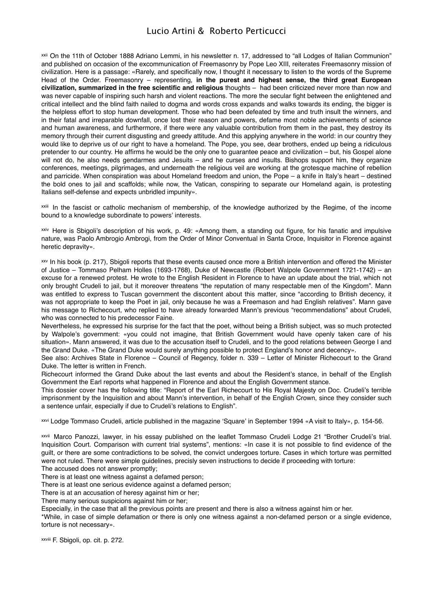<span id="page-24-0"></span>xxii On the 11th of October 1888 Adriano Lemmi, in his newsletter n. 17, addressed to "all Lodges of Italian Communion" and published on occasion of the excommunication of Freemasonry by Pope Leo XIII, reiterates Freemasonry mission of civilization. Here is a passage: «Rarely, and specifically now, I thought it necessary to listen to the words of the Supreme Head of the Order. Freemasonry – representing, **in the purest and highest sense, the third great European civilization, summarized in the free scientific and religious** thoughts – had been criticized never more than now and was never capable of inspiring such harsh and violent reactions. The more the secular fight between the enlightened and critical intellect and the blind faith nailed to dogma and words cross expands and walks towards its ending, the bigger is the helpless effort to stop human development. Those who had been defeated by time and truth insult the winners, and in their fatal and irreparable downfall, once lost their reason and powers, defame most noble achievements of science and human awareness, and furthermore, if there were any valuable contribution from them in the past, they destroy its memory through their current disgusting and greedy attitude. And this applying anywhere in the world: in our country they would like to deprive us of our right to have a homeland. The Pope, you see, dear brothers, ended up being a ridiculous pretender to our country. He affirms he would be the only one to guarantee peace and civilization – but, his Gospel alone will not do, he also needs gendarmes and Jesuits – and he curses and insults. Bishops support him, they organize conferences, meetings, pilgrimages, and underneath the religious veil are working at the grotesque machine of rebellion and parricide. When conspiration was about Homeland freedom and union, the Pope – a knife in Italy's heart – destined the bold ones to jail and scaffolds; while now, the Vatican, conspiring to separate our Homeland again, is protesting Italians self-defense and expects unbridled impunity».

<span id="page-24-1"></span>xxiii In the fascist or catholic mechanism of membership, of the knowledge authorized by the Regime, of the income bound to a knowledge subordinate to powers' interests.

<span id="page-24-2"></span>xxiv Here is Sbigoli's description of his work, p. 49: «Among them, a standing out figure, for his fanatic and impulsive nature, was Paolo Ambrogio Ambrogi, from the Order of Minor Conventual in Santa Croce, Inquisitor in Florence against heretic depravity».

<span id="page-24-3"></span>xxv In his book (p. 217), Sbigoli reports that these events caused once more a British intervention and offered the Minister of Justice – Tommaso Pelham Holles (1693-1768), Duke of Newcastle (Robert Walpole Government 1721-1742) – an excuse for a renewed protest. He wrote to the English Resident in Florence to have an update about the trial, which not only brought Crudeli to jail, but it moreover threatens "the reputation of many respectable men of the Kingdom". Mann was entitled to express to Tuscan government the discontent about this matter, since "according to British decency, it was not appropriate to keep the Poet in jail, only because he was a Freemason and had English relatives". Mann gave his message to Richecourt, who replied to have already forwarded Mann's previous "recommendations" about Crudeli, who was connected to his predecessor Faine.

Nevertheless, he expressed his surprise for the fact that the poet, without being a British subject, was so much protected by Walpole's government: «you could not imagine, that British Government would have openly taken care of his situation». Mann answered, it was due to the accusation itself to Crudeli, and to the good relations between George I and the Grand Duke. «The Grand Duke would surely anything possible to protect England's honor and decency».

See also: Archives State in Florence – Council of Regency, folder n. 339 – Letter of Minister Richecourt to the Grand Duke. The letter is written in French.

Richecourt informed the Grand Duke about the last events and about the Resident's stance, in behalf of the English Government the Earl reports what happened in Florence and about the English Government stance.

This dossier cover has the following title: "Report of the Earl Richecourt to His Royal Majesty on Doc. Crudeli's terrible imprisonment by the Inquisition and about Mann's intervention, in behalf of the English Crown, since they consider such a sentence unfair, especially if due to Crudeli's relations to English".

<span id="page-24-4"></span>xxvi Lodge Tommaso Crudeli, article published in the magazine ʻSquare' in September 1994 «A visit to Italy», p. 154-56.

<span id="page-24-5"></span>xxvii Marco Panozzi, lawyer, in his essay published on the leaflet Tommaso Crudeli Lodge 21 "Brother Crudeli's trial. Inquisition Court. Comparison with current trial systems", mentions: «In case it is not possible to find evidence of the guilt, or there are some contradictions to be solved, the convict undergoes torture. Cases in which torture was permitted were not ruled. There were simple guidelines, precisly seven instructions to decide if proceeding with torture:

The accused does not answer promptly;

There is at least one witness against a defamed person;

There is at least one serious evidence against a defamed person;

There is at an accusation of heresy against him or her;

There many serious suspicions against him or her;

Especially, in the case that all the previous points are present and there is also a witness against him or her.

\*While, in case of simple defamation or there is only one witness against a non-defamed person or a single evidence, torture is not necessary».

<span id="page-24-6"></span>xxviii F. Sbigoli, op. cit. p. 272.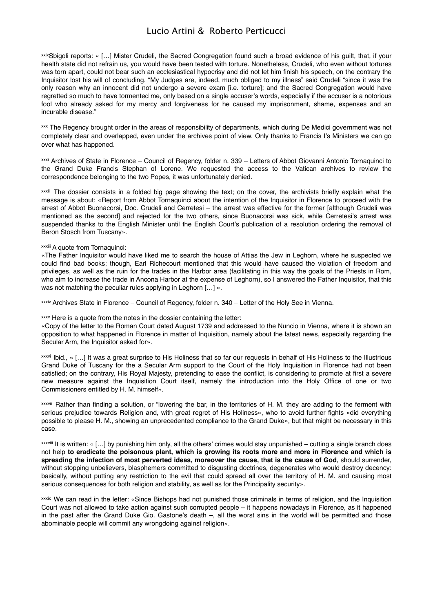<span id="page-25-0"></span>xxixSbigoli reports: « [...] Mister Crudeli, the Sacred Congregation found such a broad evidence of his guilt, that, if your health state did not refrain us, you would have been tested with torture. Nonetheless, Crudeli, who even without tortures was torn apart, could not bear such an ecclesiastical hypocrisy and did not let him finish his speech, on the contrary the Inquisitor lost his will of concluding. "My Judges are, indeed, much obliged to my illness" said Crudeli "since it was the only reason why an innocent did not undergo a severe exam [i.e. torture]; and the Sacred Congregation would have regretted so much to have tormented me, only based on a single accuser's words, especially if the accuser is a notorious fool who already asked for my mercy and forgiveness for he caused my imprisonment, shame, expenses and an incurable disease."

<span id="page-25-1"></span>xxx The Regency brought order in the areas of responsibility of departments, which during De Medici government was not completely clear and overlapped, even under the archives point of view. Only thanks to Francis I's Ministers we can go over what has happened.

<span id="page-25-2"></span>xxxi Archives of State in Florence – Council of Regency, folder n. 339 – Letters of Abbot Giovanni Antonio Tornaquinci to the Grand Duke Francis Stephan of Lorene. We requested the access to the Vatican archives to review the correspondence belonging to the two Popes, it was unfortunately denied.

<span id="page-25-3"></span>xxxii The dossier consists in a folded big page showing the text; on the cover, the archivists briefly explain what the message is about: «Report from Abbot Tornaquinci about the intention of the Inquisitor in Florence to proceed with the arrest of Abbot Buonacorsi, Doc. Crudeli and Cerretesi – the arrest was effective for the former [although Crudeli was mentioned as the second] and rejected for the two others, since Buonacorsi was sick, while Cerretesi's arrest was suspended thanks to the English Minister until the English Court's publication of a resolution ordering the removal of Baron Stosch from Tuscany».

#### <span id="page-25-4"></span>xxxiii A quote from Tornaquinci:

«The Father Inquisitor would have liked me to search the house of Attias the Jew in Leghorn, where he suspected we could find bad books; though, Earl Richecourt mentioned that this would have caused the violation of freedom and privileges, as well as the ruin for the trades in the Harbor area (facilitating in this way the goals of the Priests in Rom, who aim to increase the trade in Ancona Harbor at the expense of Leghorn), so I answered the Father Inquisitor, that this was not matching the peculiar rules applying in Leghorn […] ».

<span id="page-25-5"></span>xxxiv Archives State in Florence – Council of Regency, folder n. 340 – Letter of the Holy See in Vienna.

<span id="page-25-6"></span>xxxv Here is a quote from the notes in the dossier containing the letter:

«Copy of the letter to the Roman Court dated August 1739 and addressed to the Nuncio in Vienna, where it is shown an opposition to what happened in Florence in matter of Inquisition, namely about the latest news, especially regarding the Secular Arm, the Inquisitor asked for».

<span id="page-25-7"></span>xxxvi Ibid., « […] It was a great surprise to His Holiness that so far our requests in behalf of His Holiness to the Illustrious Grand Duke of Tuscany for the a Secular Arm support to the Court of the Holy Inquisition in Florence had not been satisfied; on the contrary, His Royal Majesty, pretending to ease the conflict, is considering to promote at first a severe new measure against the Inquisition Court itself, namely the introduction into the Holy Office of one or two Commissioners entitled by H. M. himself».

<span id="page-25-8"></span>xxxvii Rather than finding a solution, or "lowering the bar, in the territories of H. M. they are adding to the ferment with serious prejudice towards Religion and, with great regret of His Holiness», who to avoid further fights «did everything possible to please H. M., showing an unprecedented compliance to the Grand Duke», but that might be necessary in this case.

<span id="page-25-9"></span> $x$ <sub>xxviii</sub> It is written: « [...] by punishing him only, all the others' crimes would stay unpunished – cutting a single branch does not help **to eradicate the poisonous plant, which is growing its roots more and more in Florence and which is spreading the infection of most perverted ideas, moreover the cause, that is the cause of God**, should surrender, without stopping unbelievers, blasphemers committed to disgusting doctrines, degenerates who would destroy decency: basically, without putting any restriction to the evil that could spread all over the territory of H. M. and causing most serious consequences for both religion and stability, as well as for the Principality security».

<span id="page-25-10"></span>xxxix We can read in the letter: «Since Bishops had not punished those criminals in terms of religion, and the Inquisition Court was not allowed to take action against such corrupted people – it happens nowadays in Florence, as it happened in the past after the Grand Duke Gio. Gastone's death –, all the worst sins in the world will be permitted and those abominable people will commit any wrongdoing against religion».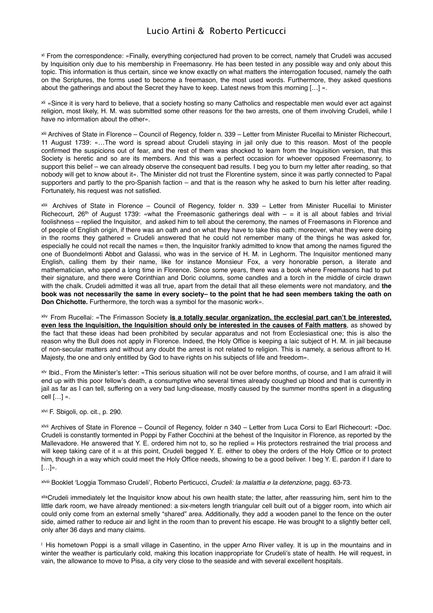<span id="page-26-0"></span>xl From the correspondence: «Finally, everything conjectured had proven to be correct, namely that Crudeli was accused by Inquisition only due to his membership in Freemasonry. He has been tested in any possible way and only about this topic. This information is thus certain, since we know exactly on what matters the interrogation focused, namely the oath on the Scriptures, the forms used to become a freemason, the most used words. Furthermore, they asked questions about the gatherings and about the Secret they have to keep. Latest news from this morning […] ».

<span id="page-26-1"></span>xli «Since it is very hard to believe, that a society hosting so many Catholics and respectable men would ever act against religion, most likely, H. M. was submitted some other reasons for the two arrests, one of them involving Crudeli, while I have no information about the other».

<span id="page-26-2"></span>xlii Archives of State in Florence – Council of Regency, folder n. 339 – Letter from Minister Rucellai to Minister Richecourt, 11 August 1739: «…The word is spread about Crudeli staying in jail only due to this reason. Most of the people confirmed the suspicions out of fear, and the rest of them was shocked to learn from the Inquisition version, that this Society is heretic and so are its members. And this was a perfect occasion for whoever opposed Freemasonry, to support this belief – we can already observe the consequent bad results. I beg you to burn my letter after reading, so that nobody will get to know about it». The Minister did not trust the Florentine system, since it was partly connected to Papal supporters and partly to the pro-Spanish faction – and that is the reason why he asked to burn his letter after reading. Fortunately, his request was not satisfied.

<span id="page-26-3"></span>xliii Archives of State in Florence – Council of Regency, folder n. 339 – Letter from Minister Rucellai to Minister Richecourt, 26<sup>th</sup> of August 1739: «what the Freemasonic gatherings deal with  $-$  = it is all about fables and trivial foolishness – replied the Inquisitor, and asked him to tell about the ceremony, the names of Freemasons in Florence and of people of English origin, if there was an oath and on what they have to take this oath; moreover, what they were doing in the rooms they gathered = Crudeli answered that he could not remember many of the things he was asked for, especially he could not recall the names = then, the Inquisitor frankly admitted to know that among the names figured the one of Buondelmonti Abbot and Galassi, who was in the service of H. M. in Leghorm. The Inquisitor mentioned many English, calling them by their name, like for instance Monsieur Fox, a very honorable person, a literate and mathematician, who spend a long time in Florence. Since some years, there was a book where Freemasons had to put their signature, and there were Corinthian and Doric columns, some candles and a torch in the middle of circle drawn with the chalk. Crudeli admitted it was all true, apart from the detail that all these elements were not mandatory, and **the book was not necessarily the same in every society– to the point that he had seen members taking the oath on Don Chichotte.** Furthermore, the torch was a symbol for the masonic work».

<span id="page-26-4"></span>xliv From Rucellai: «The Frimasson Society **is a totally secular organization, the ecclesial part can't be interested, even less the Inquisition, the Inquisition should only be interested in the causes of Faith matters**, as showed by the fact that these ideas had been prohibited by secular apparatus and not from Ecclesiastical one; this is also the reason why the Bull does not apply in Florence. Indeed, the Holy Office is keeping a laic subject of H. M. in jail because of non-secular matters and without any doubt the arrest is not related to religion. This is namely, a serious affront to H. Majesty, the one and only entitled by God to have rights on his subjects of life and freedom».

<span id="page-26-5"></span>xlv Ibid., From the Minister's letter: «This serious situation will not be over before months, of course, and I am afraid it will end up with this poor fellow's death, a consumptive who several times already coughed up blood and that is currently in jail as far as I can tell, suffering on a very bad lung-disease, mostly caused by the summer months spent in a disgusting cell […] ».

<span id="page-26-6"></span>xlvi F. Sbigoli, op. cit., p. 290.

<span id="page-26-7"></span>xlvii Archives of State in Florence – Council of Regency, folder n 340 – Letter from Luca Corsi to Earl Richecourt: «Doc. Crudeli is constantly tormented in Poppi by Father Cocchini at the behest of the Inquisitor in Florence, as reported by the Mallevadore. He answered that Y. E. ordered him not to, so he replied = His protectors restrained the trial process and will keep taking care of it = at this point, Crudeli begged Y. E. either to obey the orders of the Holy Office or to protect him, though in a way which could meet the Holy Office needs, showing to be a good beliver. I beg Y. E. pardon if I dare to  $[...]$ ».

<span id="page-26-8"></span>xlviii Booklet ʻLoggia Tommaso Crudeli', Roberto Perticucci, *Crudeli: la malattia e la detenzione*, pagg. 63-73.

<span id="page-26-9"></span>xlixCrudeli immediately let the Inquisitor know about his own health state; the latter, after reassuring him, sent him to the little dark room, we have already mentioned: a six-meters length triangular cell built out of a bigger room, into which air could only come from an external smelly "shared" area. Additionally, they add a wooden panel to the fence on the outer side, aimed rather to reduce air and light in the room than to prevent his escape. He was brought to a slightly better cell, only after 36 days and many claims.

<span id="page-26-10"></span>l His hometown Poppi is a small village in Casentino, in the upper Arno River valley. It is up in the mountains and in winter the weather is particularly cold, making this location inappropriate for Crudeli's state of health. He will request, in vain, the allowance to move to Pisa, a city very close to the seaside and with several excellent hospitals.